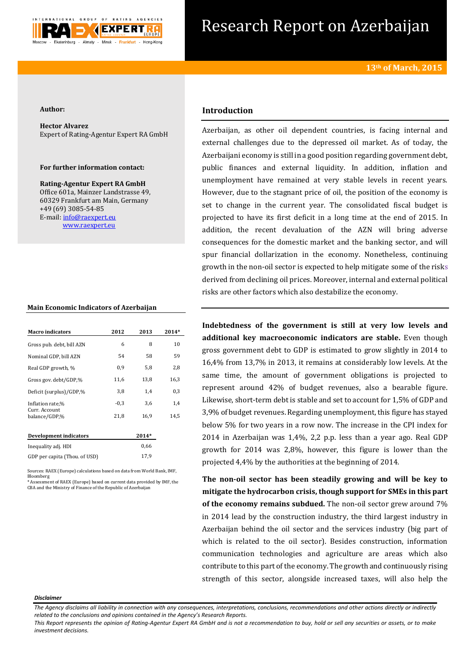

# Research Report on Azerbaijan

### **Author:**

**Hector Alvarez** Expert of Rating-Agentur Expert RA GmbH

# **For further information contact:**

**Rating-Agentur Expert RA GmbH** Office 601a, Mainzer Landstrasse 49, 60329 Frankfurt am Main, Germany +49 (69) 3085-54-85 E-mail[: info@raexpert.eu](mailto:info@raexpert.eu) [www.raexpert.eu](http://raexpert.eu/)

## **Main Economic Indicators of Azerbaijan**

| <b>Macro</b> indicators        | 2012   | 2013    | 2014* |
|--------------------------------|--------|---------|-------|
| Gross pub. debt, bill AZN      | 6      | 8       | 10    |
| Nominal GDP, bill AZN          | 54     | 58      | 59    |
| Real GDP growth, %             | 0,9    | 5,8     | 2,8   |
| Gross gov. debt/GDP,%          | 11,6   | 13,8    | 16,3  |
| Deficit (surplus)/GDP,%        | 3,8    | 1,4     | 0,3   |
| Inflation rate,%               | $-0,3$ | 3,6     | 1,4   |
| Curr. Account<br>balance/GDP,% | 21,8   | 16.9    | 14.5  |
| Development indicators         |        | $2014*$ |       |
| Inequality adj. HDI            |        | 0,66    |       |
| GDP per capita (Thou. of USD)  |        | 17,9    |       |

Sources: RAEX (Europe) calculations based on data from World Bank, IMF, Bloomberg

\* Assessment of RAEX (Europe) based on current data provided by IMF, the CBA and the Ministry of Finance of the Republic of Azerbaijan

# **Introduction**

Azerbaijan, as other oil dependent countries, is facing internal and external challenges due to the depressed oil market. As of today, the Azerbaijani economy is still in a good position regarding government debt, public finances and external liquidity. In addition, inflation and unemployment have remained at very stable levels in recent years. However, due to the stagnant price of oil, the position of the economy is set to change in the current year. The consolidated fiscal budget is projected to have its first deficit in a long time at the end of 2015. In addition, the recent devaluation of the AZN will bring adverse consequences for the domestic market and the banking sector, and will spur financial dollarization in the economy. Nonetheless, continuing growth in the non-oil sector is expected to help mitigate some of the risks derived from declining oil prices. Moreover, internal and external political risks are other factors which also destabilize the economy.

**Indebtedness of the government is still at very low levels and additional key macroeconomic indicators are stable.** Even though gross government debt to GDP is estimated to grow slightly in 2014 to 16,4% from 13,7% in 2013, it remains at considerably low levels. At the same time, the amount of government obligations is projected to represent around 42% of budget revenues, also a bearable figure. Likewise, short-term debt is stable and set to account for 1,5% of GDP and 3,9% of budget revenues. Regarding unemployment, this figure has stayed below 5% for two years in a row now. The increase in the CPI index for 2014 in Azerbaijan was 1,4%, 2,2 p.p. less than a year ago. Real GDP growth for 2014 was 2,8%, however, this figure is lower than the projected 4,4% by the authorities at the beginning of 2014.

**The non-oil sector has been steadily growing and will be key to mitigate the hydrocarbon crisis, though support for SMEs in this part of the economy remains subdued.** The non-oil sector grew around 7% in 2014 lead by the construction industry, the third largest industry in Azerbaijan behind the oil sector and the services industry (big part of which is related to the oil sector). Besides construction, information communication technologies and agriculture are areas which also contribute to this part of the economy. The growth and continuously rising strength of this sector, alongside increased taxes, will also help the

#### *Disclaimer*

*This Report represents the opinion of Rating-Agentur Expert RA GmbH and is not a recommendation to buy, hold or sell any securities or assets, or to make investment decisions.*

*The Agency disclaims all liability in connection with any consequences, interpretations, conclusions, recommendations and other actions directly or indirectly related to the conclusions and opinions contained in the Agency's Research Reports.*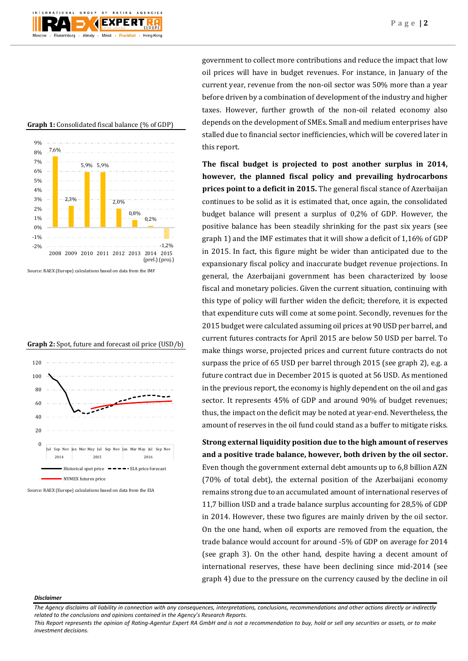

# **Graph 1:** Consolidated fiscal balance (% of GDP)



Source: RAEX (Europe) calculations based on data from the IMF





Source: RAEX (Europe) calculations based on data from the EIA

government to collect more contributions and reduce the impact that low oil prices will have in budget revenues. For instance, in January of the current year, revenue from the non-oil sector was 50% more than a year before driven by a combination of development of the industry and higher taxes. However, further growth of the non-oil related economy also depends on the development of SMEs. Small and medium enterprises have stalled due to financial sector inefficiencies, which will be covered later in this report.

**The fiscal budget is projected to post another surplus in 2014, however, the planned fiscal policy and prevailing hydrocarbons prices point to a deficit in 2015.** The general fiscal stance of Azerbaijan continues to be solid as it is estimated that, once again, the consolidated budget balance will present a surplus of 0,2% of GDP. However, the positive balance has been steadily shrinking for the past six years (see graph 1) and the IMF estimates that it will show a deficit of 1,16% of GDP in 2015. In fact, this figure might be wider than anticipated due to the expansionary fiscal policy and inaccurate budget revenue projections. In general, the Azerbaijani government has been characterized by loose fiscal and monetary policies. Given the current situation, continuing with this type of policy will further widen the deficit; therefore, it is expected that expenditure cuts will come at some point. Secondly, revenues for the 2015 budget were calculated assuming oil prices at 90 USD per barrel, and current futures contracts for April 2015 are below 50 USD per barrel. To make things worse, projected prices and current future contracts do not surpass the price of 65 USD per barrel through 2015 (see graph 2), e.g. a future contract due in December 2015 is quoted at 56 USD. As mentioned in the previous report, the economy is highly dependent on the oil and gas sector. It represents 45% of GDP and around 90% of budget revenues; thus, the impact on the deficit may be noted at year-end. Nevertheless, the amount of reserves in the oil fund could stand as a buffer to mitigate risks.

**Strong external liquidity position due to the high amount of reserves and a positive trade balance, however, both driven by the oil sector.**  Even though the government external debt amounts up to 6,8 billion AZN (70% of total debt), the external position of the Azerbaijani economy remains strong due to an accumulated amount of international reserves of 11,7 billion USD and a trade balance surplus accounting for 28,5% of GDP in 2014. However, these two figures are mainly driven by the oil sector. On the one hand, when oil exports are removed from the equation, the trade balance would account for around -5% of GDP on average for 2014 (see graph 3). On the other hand, despite having a decent amount of international reserves, these have been declining since mid-2014 (see graph 4) due to the pressure on the currency caused by the decline in oil

#### *Disclaimer*

*The Agency disclaims all liability in connection with any consequences, interpretations, conclusions, recommendations and other actions directly or indirectly related to the conclusions and opinions contained in the Agency's Research Reports.*

*This Report represents the opinion of Rating-Agentur Expert RA GmbH and is not a recommendation to buy, hold or sell any securities or assets, or to make investment decisions.*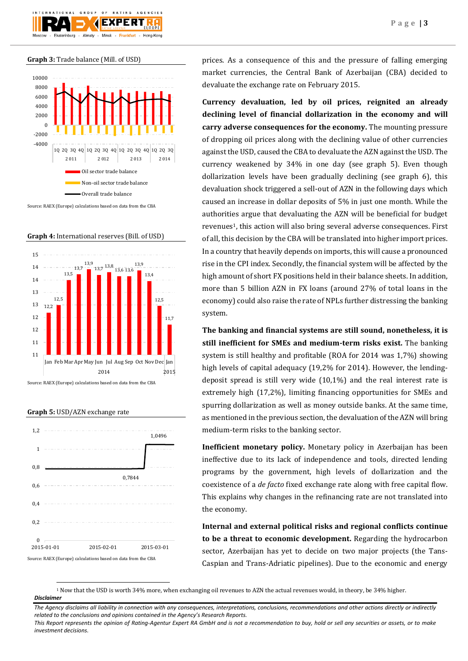

**Graph 3:** Trade balance (Mill. of USD)



Source: RAEX (Europe) calculations based on data from the CBA

**Graph 4:** International reserves (Bill. of USD)



**Graph 5:** USD/AZN exchange rate

**.** 



prices. As a consequence of this and the pressure of falling emerging market currencies, the Central Bank of Azerbaijan (CBA) decided to devaluate the exchange rate on February 2015.

**Currency devaluation, led by oil prices, reignited an already declining level of financial dollarization in the economy and will carry adverse consequences for the economy.** The mounting pressure of dropping oil prices along with the declining value of other currencies against the USD, caused the CBA to devaluate the AZN against the USD. The currency weakened by 34% in one day (see graph 5). Even though dollarization levels have been gradually declining (see graph 6), this devaluation shock triggered a sell-out of AZN in the following days which caused an increase in dollar deposits of 5% in just one month. While the authorities argue that devaluating the AZN will be beneficial for budget revenues<sup>1</sup>, this action will also bring several adverse consequences. First of all, this decision by the CBA will be translated into higher import prices. In a country that heavily depends on imports, this will cause a pronounced rise in the CPI index. Secondly, the financial system will be affected by the high amount of short FX positions held in their balance sheets. In addition, more than 5 billion AZN in FX loans (around 27% of total loans in the economy) could also raise the rate of NPLs further distressing the banking system.

**The banking and financial systems are still sound, nonetheless, it is still inefficient for SMEs and medium-term risks exist.** The banking system is still healthy and profitable (ROA for 2014 was 1,7%) showing high levels of capital adequacy (19.2% for 2014). However, the lendingdeposit spread is still very wide (10,1%) and the real interest rate is extremely high (17,2%), limiting financing opportunities for SMEs and spurring dollarization as well as money outside banks. At the same time, as mentioned in the previous section, the devaluation of the AZN will bring medium-term risks to the banking sector.

**Inefficient monetary policy.** Monetary policy in Azerbaijan has been ineffective due to its lack of independence and tools, directed lending programs by the government, high levels of dollarization and the coexistence of a *de facto* fixed exchange rate along with free capital flow. This explains why changes in the refinancing rate are not translated into the economy.

**Internal and external political risks and regional conflicts continue to be a threat to economic development.** Regarding the hydrocarbon sector, Azerbaijan has yet to decide on two major projects (the Tans-Caspian and Trans-Adriatic pipelines). Due to the economic and energy

*Disclaimer*  <sup>1</sup> Now that the USD is worth 34% more, when exchanging oil revenues to AZN the actual revenues would, in theory, be 34% higher.

*The Agency disclaims all liability in connection with any consequences, interpretations, conclusions, recommendations and other actions directly or indirectly related to the conclusions and opinions contained in the Agency's Research Reports.*

*This Report represents the opinion of Rating-Agentur Expert RA GmbH and is not a recommendation to buy, hold or sell any securities or assets, or to make investment decisions.*